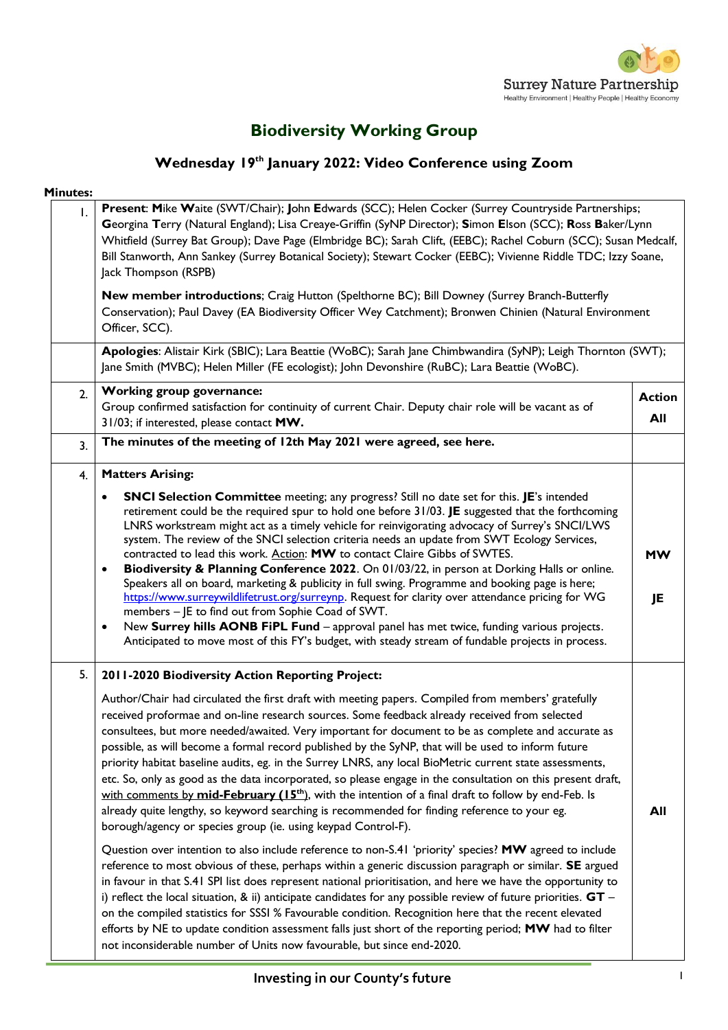

# **Biodiversity Working Group**

# **Wednesday 19th January 2022: Video Conference using Zoom**

| <b>Minutes:</b> |                                                                                                                                                                                                                                                                                                                                                                                                                                                                                                                                                                                                                                                                                                                                                                                                                                                                                                                                                                                                                                                                                                                                                                                                                                                                                                                                                                                                                                                                                                                                                                                                                                                                                                                                          |                      |
|-----------------|------------------------------------------------------------------------------------------------------------------------------------------------------------------------------------------------------------------------------------------------------------------------------------------------------------------------------------------------------------------------------------------------------------------------------------------------------------------------------------------------------------------------------------------------------------------------------------------------------------------------------------------------------------------------------------------------------------------------------------------------------------------------------------------------------------------------------------------------------------------------------------------------------------------------------------------------------------------------------------------------------------------------------------------------------------------------------------------------------------------------------------------------------------------------------------------------------------------------------------------------------------------------------------------------------------------------------------------------------------------------------------------------------------------------------------------------------------------------------------------------------------------------------------------------------------------------------------------------------------------------------------------------------------------------------------------------------------------------------------------|----------------------|
| I.              | Present: Mike Waite (SWT/Chair); John Edwards (SCC); Helen Cocker (Surrey Countryside Partnerships;<br>Georgina Terry (Natural England); Lisa Creaye-Griffin (SyNP Director); Simon Elson (SCC); Ross Baker/Lynn<br>Whitfield (Surrey Bat Group); Dave Page (Elmbridge BC); Sarah Clift, (EEBC); Rachel Coburn (SCC); Susan Medcalf,<br>Bill Stanworth, Ann Sankey (Surrey Botanical Society); Stewart Cocker (EEBC); Vivienne Riddle TDC; Izzy Soane,<br>Jack Thompson (RSPB)                                                                                                                                                                                                                                                                                                                                                                                                                                                                                                                                                                                                                                                                                                                                                                                                                                                                                                                                                                                                                                                                                                                                                                                                                                                           |                      |
|                 | New member introductions; Craig Hutton (Spelthorne BC); Bill Downey (Surrey Branch-Butterfly<br>Conservation); Paul Davey (EA Biodiversity Officer Wey Catchment); Bronwen Chinien (Natural Environment<br>Officer, SCC).                                                                                                                                                                                                                                                                                                                                                                                                                                                                                                                                                                                                                                                                                                                                                                                                                                                                                                                                                                                                                                                                                                                                                                                                                                                                                                                                                                                                                                                                                                                |                      |
|                 | Apologies: Alistair Kirk (SBIC); Lara Beattie (WoBC); Sarah Jane Chimbwandira (SyNP); Leigh Thornton (SWT);<br>Jane Smith (MVBC); Helen Miller (FE ecologist); John Devonshire (RuBC); Lara Beattie (WoBC).                                                                                                                                                                                                                                                                                                                                                                                                                                                                                                                                                                                                                                                                                                                                                                                                                                                                                                                                                                                                                                                                                                                                                                                                                                                                                                                                                                                                                                                                                                                              |                      |
| 2.              | Working group governance:<br>Group confirmed satisfaction for continuity of current Chair. Deputy chair role will be vacant as of<br>31/03; if interested, please contact MW.                                                                                                                                                                                                                                                                                                                                                                                                                                                                                                                                                                                                                                                                                                                                                                                                                                                                                                                                                                                                                                                                                                                                                                                                                                                                                                                                                                                                                                                                                                                                                            | <b>Action</b><br>All |
| 3.              | The minutes of the meeting of 12th May 2021 were agreed, see here.                                                                                                                                                                                                                                                                                                                                                                                                                                                                                                                                                                                                                                                                                                                                                                                                                                                                                                                                                                                                                                                                                                                                                                                                                                                                                                                                                                                                                                                                                                                                                                                                                                                                       |                      |
| 4.              | <b>Matters Arising:</b>                                                                                                                                                                                                                                                                                                                                                                                                                                                                                                                                                                                                                                                                                                                                                                                                                                                                                                                                                                                                                                                                                                                                                                                                                                                                                                                                                                                                                                                                                                                                                                                                                                                                                                                  |                      |
|                 | SNCI Selection Committee meeting; any progress? Still no date set for this. JE's intended<br>٠<br>retirement could be the required spur to hold one before 31/03. JE suggested that the forthcoming<br>LNRS workstream might act as a timely vehicle for reinvigorating advocacy of Surrey's SNCI/LWS<br>system. The review of the SNCI selection criteria needs an update from SWT Ecology Services,<br>contracted to lead this work. Action: MW to contact Claire Gibbs of SWTES.<br>Biodiversity & Planning Conference 2022. On 01/03/22, in person at Dorking Halls or online.<br>٠<br>Speakers all on board, marketing & publicity in full swing. Programme and booking page is here;<br>https://www.surreywildlifetrust.org/surreynp. Request for clarity over attendance pricing for WG<br>members - JE to find out from Sophie Coad of SWT.<br>New Surrey hills AONB FiPL Fund - approval panel has met twice, funding various projects.<br>$\bullet$<br>Anticipated to move most of this FY's budget, with steady stream of fundable projects in process.                                                                                                                                                                                                                                                                                                                                                                                                                                                                                                                                                                                                                                                                       | <b>MW</b><br>JE      |
| 5.              | 2011-2020 Biodiversity Action Reporting Project:<br>Author/Chair had circulated the first draft with meeting papers. Compiled from members' gratefully<br>received proformae and on-line research sources. Some feedback already received from selected<br>consultees, but more needed/awaited. Very important for document to be as complete and accurate as<br>possible, as will become a formal record published by the SyNP, that will be used to inform future<br>priority habitat baseline audits, eg. in the Surrey LNRS, any local BioMetric current state assessments,<br>etc. So, only as good as the data incorporated, so please engage in the consultation on this present draft,<br>with comments by mid-February (15 <sup>th</sup> ), with the intention of a final draft to follow by end-Feb. Is<br>already quite lengthy, so keyword searching is recommended for finding reference to your eg.<br>borough/agency or species group (ie. using keypad Control-F).<br>Question over intention to also include reference to non-S.41 'priority' species? MW agreed to include<br>reference to most obvious of these, perhaps within a generic discussion paragraph or similar. SE argued<br>in favour in that S.41 SPI list does represent national prioritisation, and here we have the opportunity to<br>i) reflect the local situation, & ii) anticipate candidates for any possible review of future priorities. $GT -$<br>on the compiled statistics for SSSI % Favourable condition. Recognition here that the recent elevated<br>efforts by NE to update condition assessment falls just short of the reporting period; MW had to filter<br>not inconsiderable number of Units now favourable, but since end-2020. | All                  |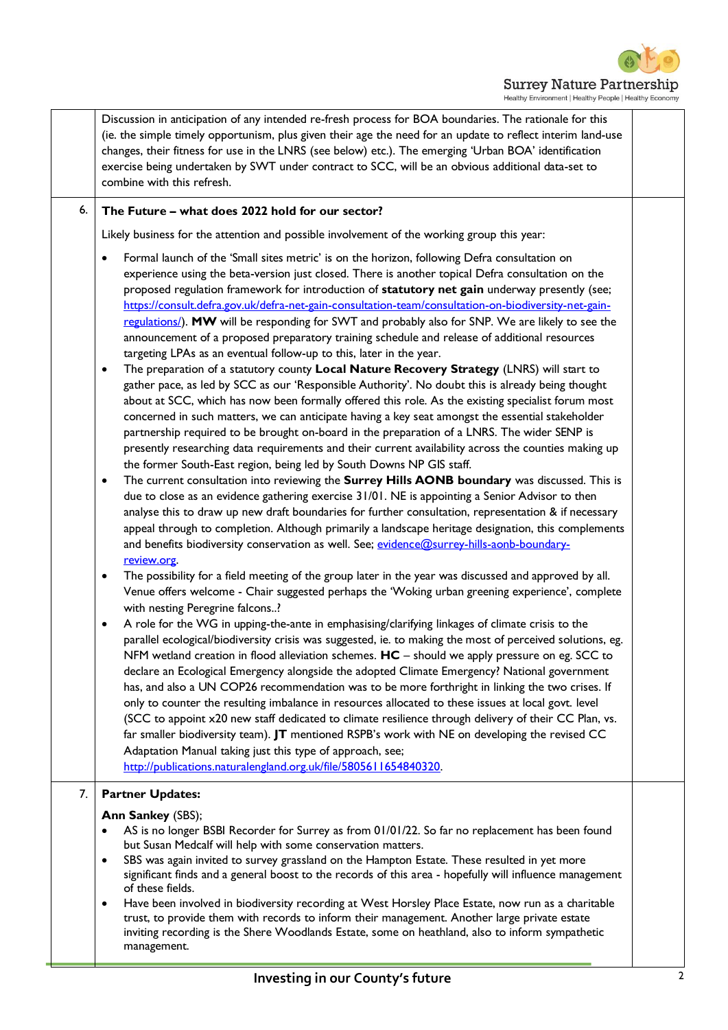

Discussion in anticipation of any intended re-fresh process for BOA boundaries. The rationale for this (ie. the simple timely opportunism, plus given their age the need for an update to reflect interim land-use changes, their fitness for use in the LNRS (see below) etc.). The emerging 'Urban BOA' identification exercise being undertaken by SWT under contract to SCC, will be an obvious additional data-set to combine with this refresh. 6. **The Future – what does 2022 hold for our sector?** Likely business for the attention and possible involvement of the working group this year: • Formal launch of the 'Small sites metric' is on the horizon, following Defra consultation on experience using the beta-version just closed. There is another topical Defra consultation on the proposed regulation framework for introduction of **statutory net gain** underway presently (see; [https://consult.defra.gov.uk/defra-net-gain-consultation-team/consultation-on-biodiversity-net-gain](https://consult.defra.gov.uk/defra-net-gain-consultation-team/consultation-on-biodiversity-net-gain-regulations/)[regulations/\)](https://consult.defra.gov.uk/defra-net-gain-consultation-team/consultation-on-biodiversity-net-gain-regulations/). **MW** will be responding for SWT and probably also for SNP. We are likely to see the announcement of a proposed preparatory training schedule and release of additional resources targeting LPAs as an eventual follow-up to this, later in the year. • The preparation of a statutory county **Local Nature Recovery Strategy** (LNRS) will start to gather pace, as led by SCC as our 'Responsible Authority'. No doubt this is already being thought about at SCC, which has now been formally offered this role. As the existing specialist forum most concerned in such matters, we can anticipate having a key seat amongst the essential stakeholder partnership required to be brought on-board in the preparation of a LNRS. The wider SENP is presently researching data requirements and their current availability across the counties making up the former South-East region, being led by South Downs NP GIS staff. • The current consultation into reviewing the **Surrey Hills AONB boundary** was discussed. This is due to close as an evidence gathering exercise 31/01. NE is appointing a Senior Advisor to then analyse this to draw up new draft boundaries for further consultation, representation & if necessary appeal through to completion. Although primarily a landscape heritage designation, this complements and benefits biodiversity conservation as well. See; [evidence@surrey-hills-aonb-boundary](mailto:evidence@surrey-hills-aonb-boundary-review.org)[review.org.](mailto:evidence@surrey-hills-aonb-boundary-review.org) • The possibility for a field meeting of the group later in the year was discussed and approved by all. Venue offers welcome - Chair suggested perhaps the 'Woking urban greening experience', complete with nesting Peregrine falcons..? • A role for the WG in upping-the-ante in emphasising/clarifying linkages of climate crisis to the parallel ecological/biodiversity crisis was suggested, ie. to making the most of perceived solutions, eg. NFM wetland creation in flood alleviation schemes. **HC** – should we apply pressure on eg. SCC to declare an Ecological Emergency alongside the adopted Climate Emergency? National government has, and also a UN COP26 recommendation was to be more forthright in linking the two crises. If only to counter the resulting imbalance in resources allocated to these issues at local govt. level (SCC to appoint x20 new staff dedicated to climate resilience through delivery of their CC Plan, vs. far smaller biodiversity team). **JT** mentioned RSPB's work with NE on developing the revised CC Adaptation Manual taking just this type of approach, see; [http://publications.naturalengland.org.uk/file/5805611654840320.](http://publications.naturalengland.org.uk/file/5805611654840320) 7. **Partner Updates: Ann Sankey** (SBS); • AS is no longer BSBI Recorder for Surrey as from 01/01/22. So far no replacement has been found but Susan Medcalf will help with some conservation matters. SBS was again invited to survey grassland on the Hampton Estate. These resulted in yet more significant finds and a general boost to the records of this area - hopefully will influence management of these fields. • Have been involved in biodiversity recording at West Horsley Place Estate, now run as a charitable trust, to provide them with records to inform their management. Another large private estate inviting recording is the Shere Woodlands Estate, some on heathland, also to inform sympathetic management.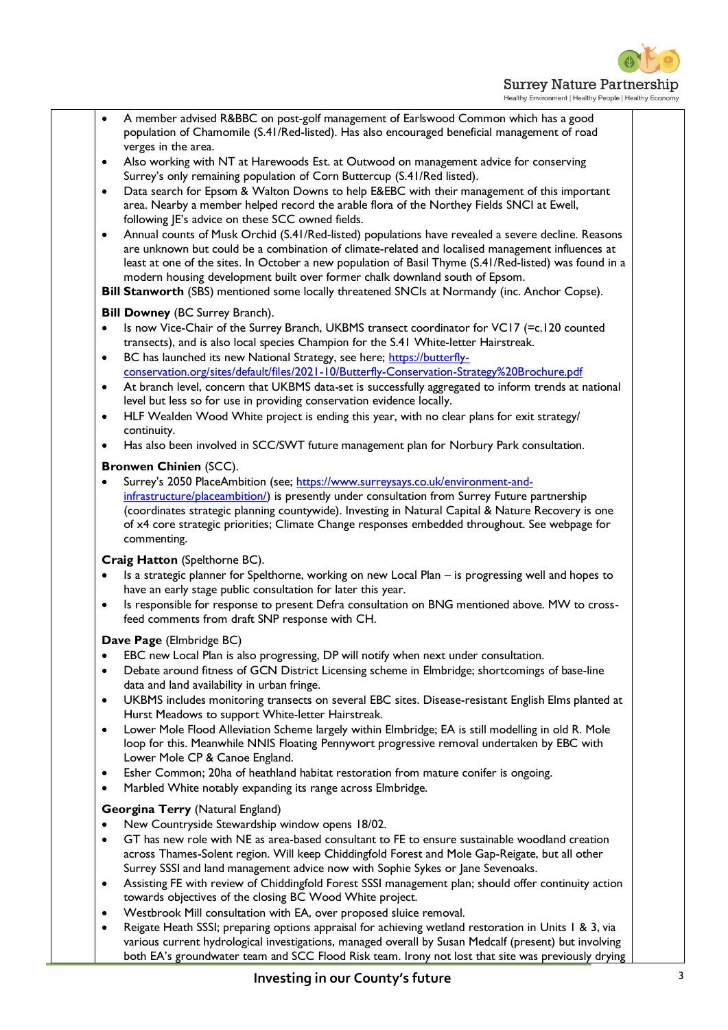

Healthy Environment | Healthy People | Healthy Economy

• A member advised R&BBC on post-golf management of Earlswood Common which has a good population of Chamomile (S.41/Red-listed). Has also encouraged beneficial management of road verges in the area. • Also working with NT at Harewoods Est. at Outwood on management advice for conserving Surrey's only remaining population of Corn Buttercup (S.41/Red listed). • Data search for Epsom & Walton Downs to help E&EBC with their management of this important area. Nearby a member helped record the arable flora of the Northey Fields SNCI at Ewell, following JE's advice on these SCC owned fields. • Annual counts of Musk Orchid (S.41/Red-listed) populations have revealed a severe decline. Reasons are unknown but could be a combination of climate-related and localised management influences at least at one of the sites. In October a new population of Basil Thyme (S.41/Red-listed) was found in a modern housing development built over former chalk downland south of Epsom. **Bill Stanworth** (SBS) mentioned some locally threatened SNCIs at Normandy (inc. Anchor Copse). **Bill Downey** (BC Surrey Branch). • Is now Vice-Chair of the Surrey Branch, UKBMS transect coordinator for VC17 (=c.120 counted transects), and is also local species Champion for the S.41 White-letter Hairstreak. • BC has launched its new National Strategy, see here; [https://butterfly](https://butterfly-conservation.org/sites/default/files/2021-10/Butterfly-Conservation-Strategy%20Brochure.pdf)[conservation.org/sites/default/files/2021-10/Butterfly-Conservation-Strategy%20Brochure.pdf](https://butterfly-conservation.org/sites/default/files/2021-10/Butterfly-Conservation-Strategy%20Brochure.pdf) • At branch level, concern that UKBMS data-set is successfully aggregated to inform trends at national level but less so for use in providing conservation evidence locally. HLF Wealden Wood White project is ending this year, with no clear plans for exit strategy/ continuity. • Has also been involved in SCC/SWT future management plan for Norbury Park consultation. **Bronwen Chinien** (SCC). Surrey's 2050 PlaceAmbition (see; [https://www.surreysays.co.uk/environment-and](https://www.surreysays.co.uk/environment-and-infrastructure/placeambition/)[infrastructure/placeambition/\)](https://www.surreysays.co.uk/environment-and-infrastructure/placeambition/) is presently under consultation from Surrey Future partnership (coordinates strategic planning countywide). Investing in Natural Capital & Nature Recovery is one of x4 core strategic priorities; Climate Change responses embedded throughout. See webpage for commenting. **Craig Hatton** (Spelthorne BC). • Is a strategic planner for Spelthorne, working on new Local Plan – is progressing well and hopes to have an early stage public consultation for later this year. • Is responsible for response to present Defra consultation on BNG mentioned above. MW to crossfeed comments from draft SNP response with CH. **Dave Page** (Elmbridge BC) • EBC new Local Plan is also progressing, DP will notify when next under consultation. • Debate around fitness of GCN District Licensing scheme in Elmbridge; shortcomings of base-line data and land availability in urban fringe. • UKBMS includes monitoring transects on several EBC sites. Disease-resistant English Elms planted at Hurst Meadows to support White-letter Hairstreak. • Lower Mole Flood Alleviation Scheme largely within Elmbridge; EA is still modelling in old R. Mole loop for this. Meanwhile NNIS Floating Pennywort progressive removal undertaken by EBC with Lower Mole CP & Canoe England. • Esher Common; 20ha of heathland habitat restoration from mature conifer is ongoing. • Marbled White notably expanding its range across Elmbridge. **Georgina Terry** (Natural England) • New Countryside Stewardship window opens 18/02. • GT has new role with NE as area-based consultant to FE to ensure sustainable woodland creation across Thames-Solent region. Will keep Chiddingfold Forest and Mole Gap-Reigate, but all other Surrey SSSI and land management advice now with Sophie Sykes or Jane Sevenoaks. • Assisting FE with review of Chiddingfold Forest SSSI management plan; should offer continuity action towards objectives of the closing BC Wood White project. • Westbrook Mill consultation with EA, over proposed sluice removal. Reigate Heath SSSI; preparing options appraisal for achieving wetland restoration in Units 1 & 3, via various current hydrological investigations, managed overall by Susan Medcalf (present) but involving both EA's groundwater team and SCC Flood Risk team. Irony not lost that site was previously drying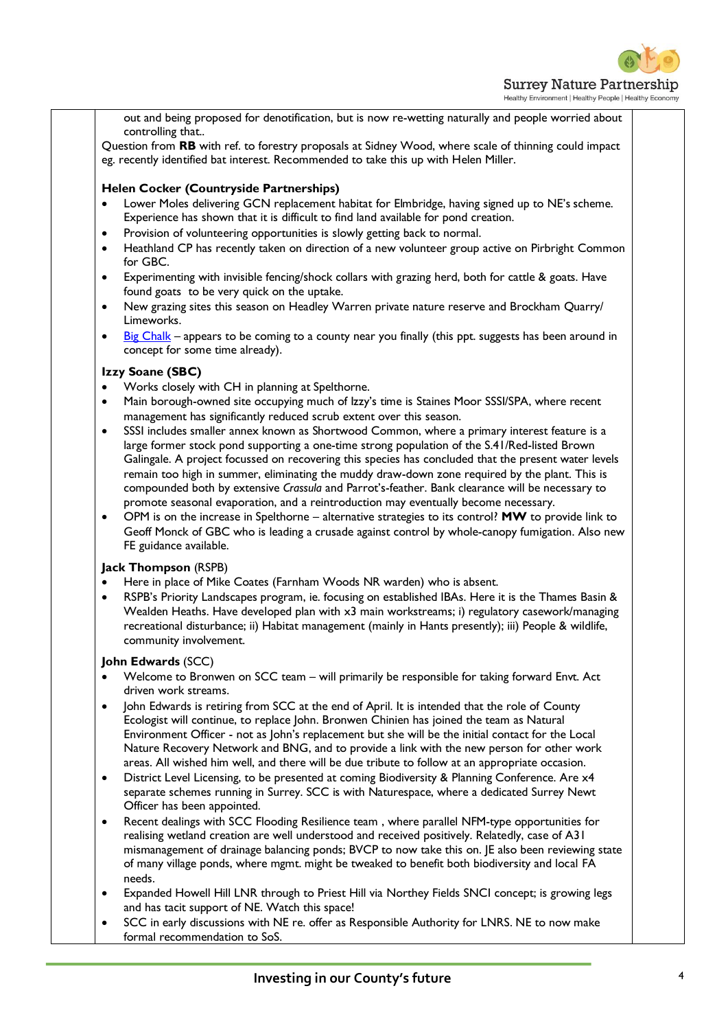

out and being proposed for denotification, but is now re-wetting naturally and people worried about controlling that..

Question from **RB** with ref. to forestry proposals at Sidney Wood, where scale of thinning could impact eg. recently identified bat interest. Recommended to take this up with Helen Miller.

## **Helen Cocker (Countryside Partnerships)**

- Lower Moles delivering GCN replacement habitat for Elmbridge, having signed up to NE's scheme. Experience has shown that it is difficult to find land available for pond creation.
- Provision of volunteering opportunities is slowly getting back to normal.
- Heathland CP has recently taken on direction of a new volunteer group active on Pirbright Common for GBC.
- Experimenting with invisible fencing/shock collars with grazing herd, both for cattle & goats. Have found goats to be very quick on the uptake.
- New grazing sites this season on Headley Warren private nature reserve and Brockham Quarry/ Limeworks.
- [Big Chalk](https://www.southdowns.gov.uk/wp-content/uploads/2017/02/PP_26Jan2017_Item_10-Presentation.pdf) appears to be coming to a county near you finally (this ppt. suggests has been around in concept for some time already).

## **Izzy Soane (SBC)**

- Works closely with CH in planning at Spelthorne.
- Main borough-owned site occupying much of Izzy's time is Staines Moor SSSI/SPA, where recent management has significantly reduced scrub extent over this season.
- SSSI includes smaller annex known as Shortwood Common, where a primary interest feature is a large former stock pond supporting a one-time strong population of the S.41/Red-listed Brown Galingale. A project focussed on recovering this species has concluded that the present water levels remain too high in summer, eliminating the muddy draw-down zone required by the plant. This is compounded both by extensive *Crassula* and Parrot's-feather. Bank clearance will be necessary to promote seasonal evaporation, and a reintroduction may eventually become necessary.
- OPM is on the increase in Spelthorne alternative strategies to its control? **MW** to provide link to Geoff Monck of GBC who is leading a crusade against control by whole-canopy fumigation. Also new FE guidance available.

## **Jack Thompson** (RSPB)

- Here in place of Mike Coates (Farnham Woods NR warden) who is absent.
- RSPB's Priority Landscapes program, ie. focusing on established IBAs. Here it is the Thames Basin & Wealden Heaths. Have developed plan with x3 main workstreams; i) regulatory casework/managing recreational disturbance; ii) Habitat management (mainly in Hants presently); iii) People & wildlife, community involvement.

## **John Edwards** (SCC)

- Welcome to Bronwen on SCC team will primarily be responsible for taking forward Envt. Act driven work streams.
- John Edwards is retiring from SCC at the end of April. It is intended that the role of County Ecologist will continue, to replace John. Bronwen Chinien has joined the team as Natural Environment Officer - not as John's replacement but she will be the initial contact for the Local Nature Recovery Network and BNG, and to provide a link with the new person for other work areas. All wished him well, and there will be due tribute to follow at an appropriate occasion.
- District Level Licensing, to be presented at coming Biodiversity & Planning Conference. Are x4 separate schemes running in Surrey. SCC is with Naturespace, where a dedicated Surrey Newt Officer has been appointed.
- Recent dealings with SCC Flooding Resilience team , where parallel NFM-type opportunities for realising wetland creation are well understood and received positively. Relatedly, case of A31 mismanagement of drainage balancing ponds; BVCP to now take this on. JE also been reviewing state of many village ponds, where mgmt. might be tweaked to benefit both biodiversity and local FA needs.
- Expanded Howell Hill LNR through to Priest Hill via Northey Fields SNCI concept; is growing legs and has tacit support of NE. Watch this space!
- SCC in early discussions with NE re. offer as Responsible Authority for LNRS. NE to now make formal recommendation to SoS.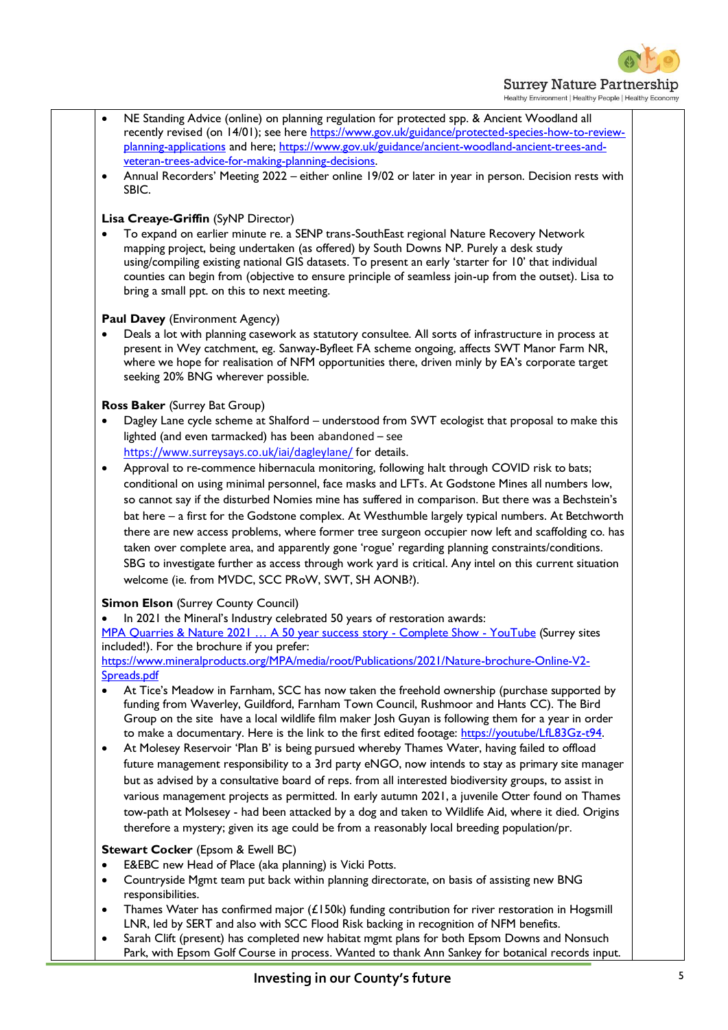

| ٠<br>veteran-trees-advice-for-making-planning-decisions.<br>٠<br>SBIC.                                                                                                 | NE Standing Advice (online) on planning regulation for protected spp. & Ancient Woodland all<br>recently revised (on 14/01); see here https://www.gov.uk/guidance/protected-species-how-to-review-<br>planning-applications and here; https://www.gov.uk/guidance/ancient-woodland-ancient-trees-and-<br>Annual Recorders' Meeting 2022 - either online 19/02 or later in year in person. Decision rests with                                                                                                                                                                                                                                                                                                                 |
|------------------------------------------------------------------------------------------------------------------------------------------------------------------------|-------------------------------------------------------------------------------------------------------------------------------------------------------------------------------------------------------------------------------------------------------------------------------------------------------------------------------------------------------------------------------------------------------------------------------------------------------------------------------------------------------------------------------------------------------------------------------------------------------------------------------------------------------------------------------------------------------------------------------|
| Lisa Creaye-Griffin (SyNP Director)<br>bring a small ppt. on this to next meeting.                                                                                     | To expand on earlier minute re. a SENP trans-SouthEast regional Nature Recovery Network<br>mapping project, being undertaken (as offered) by South Downs NP. Purely a desk study<br>using/compiling existing national GIS datasets. To present an early 'starter for 10' that individual<br>counties can begin from (objective to ensure principle of seamless join-up from the outset). Lisa to                                                                                                                                                                                                                                                                                                                              |
| <b>Paul Davey</b> (Environment Agency)<br>seeking 20% BNG wherever possible.                                                                                           | Deals a lot with planning casework as statutory consultee. All sorts of infrastructure in process at<br>present in Wey catchment, eg. Sanway-Byfleet FA scheme ongoing, affects SWT Manor Farm NR,<br>where we hope for realisation of NFM opportunities there, driven minly by EA's corporate target                                                                                                                                                                                                                                                                                                                                                                                                                         |
| Ross Baker (Surrey Bat Group)<br>lighted (and even tarmacked) has been abandoned - see                                                                                 | Dagley Lane cycle scheme at Shalford - understood from SWT ecologist that proposal to make this                                                                                                                                                                                                                                                                                                                                                                                                                                                                                                                                                                                                                               |
| https://www.surreysays.co.uk/iai/dagleylane/ for details.<br>٠<br>welcome (ie. from MVDC, SCC PRoW, SWT, SH AONB?).                                                    | Approval to re-commence hibernacula monitoring, following halt through COVID risk to bats;<br>conditional on using minimal personnel, face masks and LFTs. At Godstone Mines all numbers low,<br>so cannot say if the disturbed Nomies mine has suffered in comparison. But there was a Bechstein's<br>bat here - a first for the Godstone complex. At Westhumble largely typical numbers. At Betchworth<br>there are new access problems, where former tree surgeon occupier now left and scaffolding co. has<br>taken over complete area, and apparently gone 'rogue' regarding planning constraints/conditions.<br>SBG to investigate further as access through work yard is critical. Any intel on this current situation |
| <b>Simon Elson (Surrey County Council)</b><br>In 2021 the Mineral's Industry celebrated 50 years of restoration awards:<br>included!). For the brochure if you prefer: | MPA Quarries & Nature 2021  A 50 year success story - Complete Show - YouTube (Surrey sites<br>https://www.mineralproducts.org/MPA/media/root/Publications/2021/Nature-brochure-Online-V2-                                                                                                                                                                                                                                                                                                                                                                                                                                                                                                                                    |
| Spreads.pdf                                                                                                                                                            | At Tice's Meadow in Farnham, SCC has now taken the freehold ownership (purchase supported by<br>funding from Waverley, Guildford, Farnham Town Council, Rushmoor and Hants CC). The Bird<br>Group on the site have a local wildlife film maker Josh Guyan is following them for a year in order<br>to make a documentary. Here is the link to the first edited footage: https://youtube/LfL83Gz-t94.<br>At Molesey Reservoir 'Plan B' is being pursued whereby Thames Water, having failed to offload                                                                                                                                                                                                                         |
|                                                                                                                                                                        | future management responsibility to a 3rd party eNGO, now intends to stay as primary site manager<br>but as advised by a consultative board of reps. from all interested biodiversity groups, to assist in<br>various management projects as permitted. In early autumn 2021, a juvenile Otter found on Thames<br>tow-path at Molsesey - had been attacked by a dog and taken to Wildlife Aid, where it died. Origins<br>therefore a mystery; given its age could be from a reasonably local breeding population/pr.                                                                                                                                                                                                          |
| <b>Stewart Cocker (Epsom &amp; Ewell BC)</b><br>E&EBC new Head of Place (aka planning) is Vicki Potts.<br>٠<br>٠<br>responsibilities.                                  | Countryside Mgmt team put back within planning directorate, on basis of assisting new BNG                                                                                                                                                                                                                                                                                                                                                                                                                                                                                                                                                                                                                                     |
| $\bullet$<br>$\bullet$                                                                                                                                                 | Thames Water has confirmed major (£150k) funding contribution for river restoration in Hogsmill<br>LNR, led by SERT and also with SCC Flood Risk backing in recognition of NFM benefits.<br>Sarah Clift (present) has completed new habitat mgmt plans for both Epsom Downs and Nonsuch<br>Park, with Epsom Golf Course in process. Wanted to thank Ann Sankey for botanical records input.                                                                                                                                                                                                                                                                                                                                   |
|                                                                                                                                                                        | Investing in our County's future                                                                                                                                                                                                                                                                                                                                                                                                                                                                                                                                                                                                                                                                                              |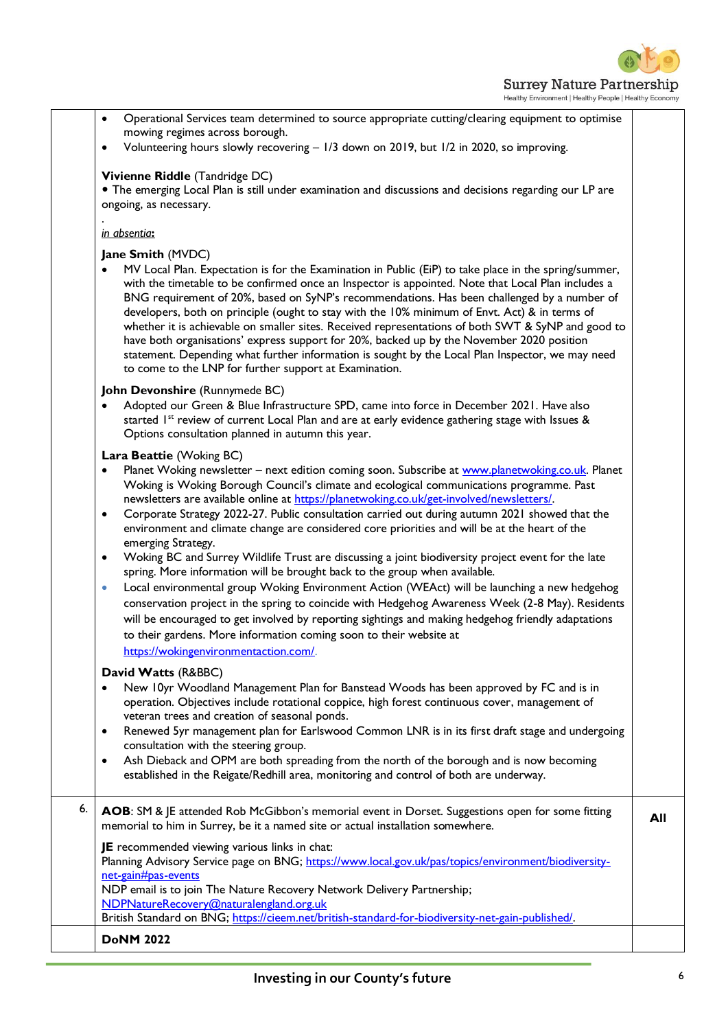

|    | Operational Services team determined to source appropriate cutting/clearing equipment to optimise<br>$\bullet$<br>mowing regimes across borough.                                                                                                                                                                                                                                                                                                                                                                                                                                                                                                                                                                                                                                                  |     |
|----|---------------------------------------------------------------------------------------------------------------------------------------------------------------------------------------------------------------------------------------------------------------------------------------------------------------------------------------------------------------------------------------------------------------------------------------------------------------------------------------------------------------------------------------------------------------------------------------------------------------------------------------------------------------------------------------------------------------------------------------------------------------------------------------------------|-----|
|    | Volunteering hours slowly recovering - 1/3 down on 2019, but 1/2 in 2020, so improving.<br>$\bullet$                                                                                                                                                                                                                                                                                                                                                                                                                                                                                                                                                                                                                                                                                              |     |
|    | Vivienne Riddle (Tandridge DC)<br>• The emerging Local Plan is still under examination and discussions and decisions regarding our LP are<br>ongoing, as necessary.                                                                                                                                                                                                                                                                                                                                                                                                                                                                                                                                                                                                                               |     |
|    | in absentia:                                                                                                                                                                                                                                                                                                                                                                                                                                                                                                                                                                                                                                                                                                                                                                                      |     |
|    | Jane Smith (MVDC)<br>MV Local Plan. Expectation is for the Examination in Public (EiP) to take place in the spring/summer,<br>with the timetable to be confirmed once an Inspector is appointed. Note that Local Plan includes a<br>BNG requirement of 20%, based on SyNP's recommendations. Has been challenged by a number of<br>developers, both on principle (ought to stay with the 10% minimum of Envt. Act) & in terms of<br>whether it is achievable on smaller sites. Received representations of both SWT & SyNP and good to<br>have both organisations' express support for 20%, backed up by the November 2020 position<br>statement. Depending what further information is sought by the Local Plan Inspector, we may need<br>to come to the LNP for further support at Examination. |     |
|    | John Devonshire (Runnymede BC)<br>Adopted our Green & Blue Infrastructure SPD, came into force in December 2021. Have also<br>$\bullet$<br>started 1st review of current Local Plan and are at early evidence gathering stage with Issues &<br>Options consultation planned in autumn this year.                                                                                                                                                                                                                                                                                                                                                                                                                                                                                                  |     |
|    | Lara Beattie (Woking BC)                                                                                                                                                                                                                                                                                                                                                                                                                                                                                                                                                                                                                                                                                                                                                                          |     |
|    | Planet Woking newsletter - next edition coming soon. Subscribe at www.planetwoking.co.uk. Planet<br>٠<br>Woking is Woking Borough Council's climate and ecological communications programme. Past<br>newsletters are available online at https://planetwoking.co.uk/get-involved/newsletters/.<br>Corporate Strategy 2022-27. Public consultation carried out during autumn 2021 showed that the<br>$\bullet$<br>environment and climate change are considered core priorities and will be at the heart of the<br>emerging Strategy.                                                                                                                                                                                                                                                              |     |
|    | Woking BC and Surrey Wildlife Trust are discussing a joint biodiversity project event for the late<br>$\bullet$<br>spring. More information will be brought back to the group when available.<br>Local environmental group Woking Environment Action (WEAct) will be launching a new hedgehog<br>$\bullet$<br>conservation project in the spring to coincide with Hedgehog Awareness Week (2-8 May). Residents<br>will be encouraged to get involved by reporting sightings and making hedgehog friendly adaptations<br>to their gardens. More information coming soon to their website at<br>https://wokingenvironmentaction.com/.                                                                                                                                                               |     |
|    | David Watts (R&BBC)                                                                                                                                                                                                                                                                                                                                                                                                                                                                                                                                                                                                                                                                                                                                                                               |     |
|    | New 10yr Woodland Management Plan for Banstead Woods has been approved by FC and is in<br>$\bullet$<br>operation. Objectives include rotational coppice, high forest continuous cover, management of<br>veteran trees and creation of seasonal ponds.                                                                                                                                                                                                                                                                                                                                                                                                                                                                                                                                             |     |
|    | Renewed 5yr management plan for Earlswood Common LNR is in its first draft stage and undergoing<br>$\bullet$<br>consultation with the steering group.<br>Ash Dieback and OPM are both spreading from the north of the borough and is now becoming<br>$\bullet$                                                                                                                                                                                                                                                                                                                                                                                                                                                                                                                                    |     |
|    | established in the Reigate/Redhill area, monitoring and control of both are underway.                                                                                                                                                                                                                                                                                                                                                                                                                                                                                                                                                                                                                                                                                                             |     |
| 6. | AOB: SM & JE attended Rob McGibbon's memorial event in Dorset. Suggestions open for some fitting<br>memorial to him in Surrey, be it a named site or actual installation somewhere.                                                                                                                                                                                                                                                                                                                                                                                                                                                                                                                                                                                                               | All |
|    | JE recommended viewing various links in chat:<br>Planning Advisory Service page on BNG; https://www.local.gov.uk/pas/topics/environment/biodiversity-<br>net-gain#pas-events                                                                                                                                                                                                                                                                                                                                                                                                                                                                                                                                                                                                                      |     |
|    | NDP email is to join The Nature Recovery Network Delivery Partnership;                                                                                                                                                                                                                                                                                                                                                                                                                                                                                                                                                                                                                                                                                                                            |     |
|    | NDPNatureRecovery@naturalengland.org.uk<br>British Standard on BNG; https://cieem.net/british-standard-for-biodiversity-net-gain-published/.                                                                                                                                                                                                                                                                                                                                                                                                                                                                                                                                                                                                                                                      |     |
|    | <b>DoNM 2022</b>                                                                                                                                                                                                                                                                                                                                                                                                                                                                                                                                                                                                                                                                                                                                                                                  |     |